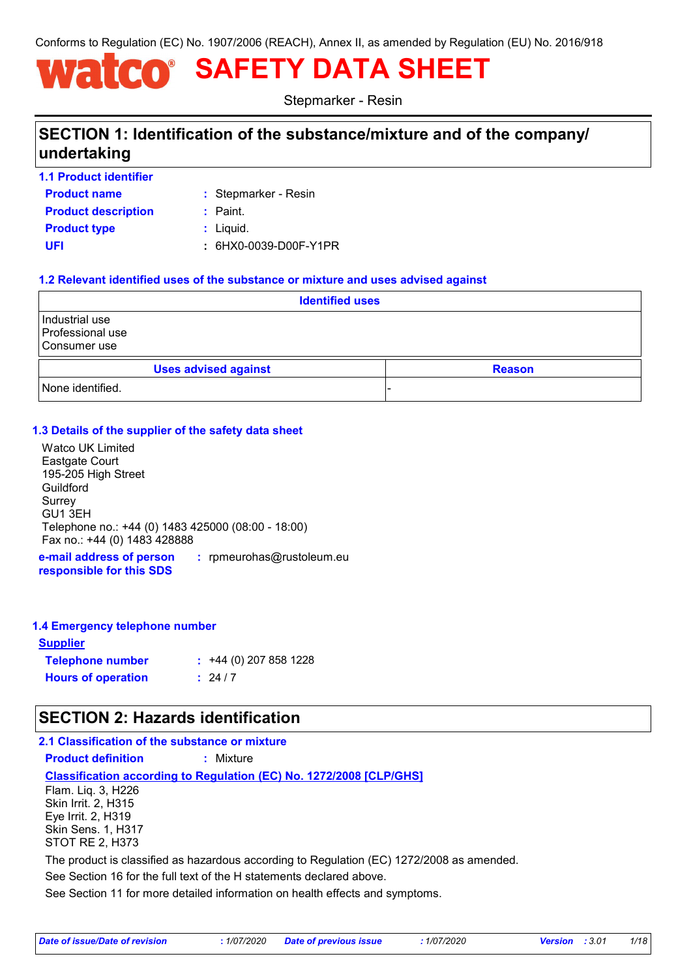Conforms to Regulation (EC) No. 1907/2006 (REACH), Annex II, as amended by Regulation (EU) No. 2016/918

# **SAFETY DATA SHEET**

Stepmarker - Resin

### **SECTION 1: Identification of the substance/mixture and of the company/ undertaking**

|  | <b>1.1 Product identifier</b> |  |
|--|-------------------------------|--|
|  |                               |  |

**Product name**

Stepmarker - Resin **:**

| <b>Product description</b> | : Paint.              |
|----------------------------|-----------------------|
| <b>Product type</b>        | : Liquid.             |
| UFI                        | : 6HX0-0039-D00F-Y1PR |

#### **1.2 Relevant identified uses of the substance or mixture and uses advised against**

| <b>Identified uses</b>                             |  |  |
|----------------------------------------------------|--|--|
| Industrial use<br>Professional use<br>Consumer use |  |  |
| <b>Uses advised against</b><br><b>Reason</b>       |  |  |
| None identified.                                   |  |  |

#### **1.3 Details of the supplier of the safety data sheet**

Watco UK Limited Eastgate Court 195-205 High Street Guildford Surrey GU1 3EH Telephone no.: +44 (0) 1483 425000 (08:00 - 18:00) Fax no.: +44 (0) 1483 428888

**e-mail address of person responsible for this SDS :** rpmeurohas@rustoleum.eu

#### **1.4 Emergency telephone number**

| <u>Supplier</u>           |                        |  |  |
|---------------------------|------------------------|--|--|
| <b>Telephone number</b>   | $: 44(0)$ 207 858 1228 |  |  |
| <b>Hours of operation</b> | : 24/7                 |  |  |

### **SECTION 2: Hazards identification**

#### **2.1 Classification of the substance or mixture**

**Product definition :** Mixture

#### **Classification according to Regulation (EC) No. 1272/2008 [CLP/GHS]**

Flam. Liq. 3, H226 Skin Irrit. 2, H315 Eye Irrit. 2, H319 Skin Sens. 1, H317 STOT RE 2, H373

The product is classified as hazardous according to Regulation (EC) 1272/2008 as amended.

See Section 16 for the full text of the H statements declared above.

See Section 11 for more detailed information on health effects and symptoms.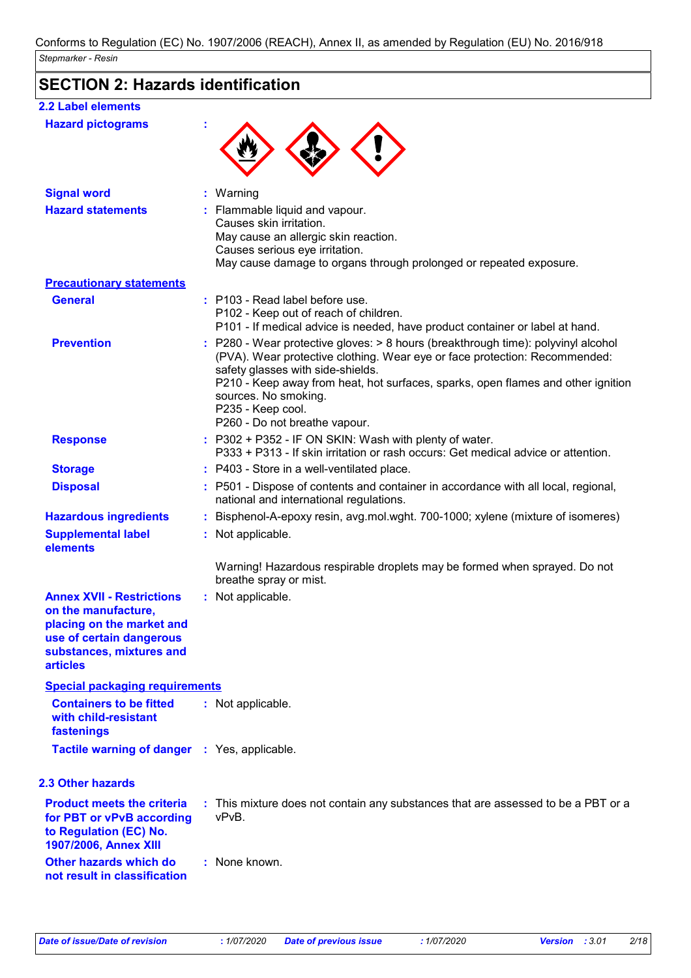### **SECTION 2: Hazards identification**

| <b>2.2 Label elements</b>                                                                                                                                       |                                                                                                                                                                                                                                                                                                                                                                        |
|-----------------------------------------------------------------------------------------------------------------------------------------------------------------|------------------------------------------------------------------------------------------------------------------------------------------------------------------------------------------------------------------------------------------------------------------------------------------------------------------------------------------------------------------------|
| <b>Hazard pictograms</b>                                                                                                                                        |                                                                                                                                                                                                                                                                                                                                                                        |
| <b>Signal word</b>                                                                                                                                              | : Warning                                                                                                                                                                                                                                                                                                                                                              |
| <b>Hazard statements</b>                                                                                                                                        | : Flammable liquid and vapour.<br>Causes skin irritation.<br>May cause an allergic skin reaction.<br>Causes serious eye irritation.<br>May cause damage to organs through prolonged or repeated exposure.                                                                                                                                                              |
| <b>Precautionary statements</b>                                                                                                                                 |                                                                                                                                                                                                                                                                                                                                                                        |
| <b>General</b>                                                                                                                                                  | : P103 - Read label before use.<br>P102 - Keep out of reach of children.<br>P101 - If medical advice is needed, have product container or label at hand.                                                                                                                                                                                                               |
| <b>Prevention</b>                                                                                                                                               | : P280 - Wear protective gloves: > 8 hours (breakthrough time): polyvinyl alcohol<br>(PVA). Wear protective clothing. Wear eye or face protection: Recommended:<br>safety glasses with side-shields.<br>P210 - Keep away from heat, hot surfaces, sparks, open flames and other ignition<br>sources. No smoking.<br>P235 - Keep cool.<br>P260 - Do not breathe vapour. |
| <b>Response</b>                                                                                                                                                 | : P302 + P352 - IF ON SKIN: Wash with plenty of water.<br>P333 + P313 - If skin irritation or rash occurs: Get medical advice or attention.                                                                                                                                                                                                                            |
| <b>Storage</b>                                                                                                                                                  | : P403 - Store in a well-ventilated place.                                                                                                                                                                                                                                                                                                                             |
| <b>Disposal</b>                                                                                                                                                 | : P501 - Dispose of contents and container in accordance with all local, regional,<br>national and international regulations.                                                                                                                                                                                                                                          |
| <b>Hazardous ingredients</b>                                                                                                                                    | : Bisphenol-A-epoxy resin, avg.mol.wght. 700-1000; xylene (mixture of isomeres)                                                                                                                                                                                                                                                                                        |
| <b>Supplemental label</b><br>elements                                                                                                                           | : Not applicable.                                                                                                                                                                                                                                                                                                                                                      |
|                                                                                                                                                                 | Warning! Hazardous respirable droplets may be formed when sprayed. Do not<br>breathe spray or mist.                                                                                                                                                                                                                                                                    |
| <b>Annex XVII - Restrictions</b><br>on the manufacture,<br>placing on the market and<br>use of certain dangerous<br>substances, mixtures and<br><b>articles</b> | : Not applicable.                                                                                                                                                                                                                                                                                                                                                      |
| <b>Special packaging requirements</b>                                                                                                                           |                                                                                                                                                                                                                                                                                                                                                                        |
| <b>Containers to be fitted</b><br>with child-resistant<br>fastenings                                                                                            | : Not applicable.                                                                                                                                                                                                                                                                                                                                                      |
| <b>Tactile warning of danger : Yes, applicable.</b>                                                                                                             |                                                                                                                                                                                                                                                                                                                                                                        |
| <b>2.3 Other hazards</b>                                                                                                                                        |                                                                                                                                                                                                                                                                                                                                                                        |
| <b>Product meets the criteria</b><br>for PBT or vPvB according<br>to Regulation (EC) No.<br>1907/2006, Annex XIII                                               | : This mixture does not contain any substances that are assessed to be a PBT or a<br>vPvB.                                                                                                                                                                                                                                                                             |
| Other hazards which do<br>not result in classification                                                                                                          | : None known.                                                                                                                                                                                                                                                                                                                                                          |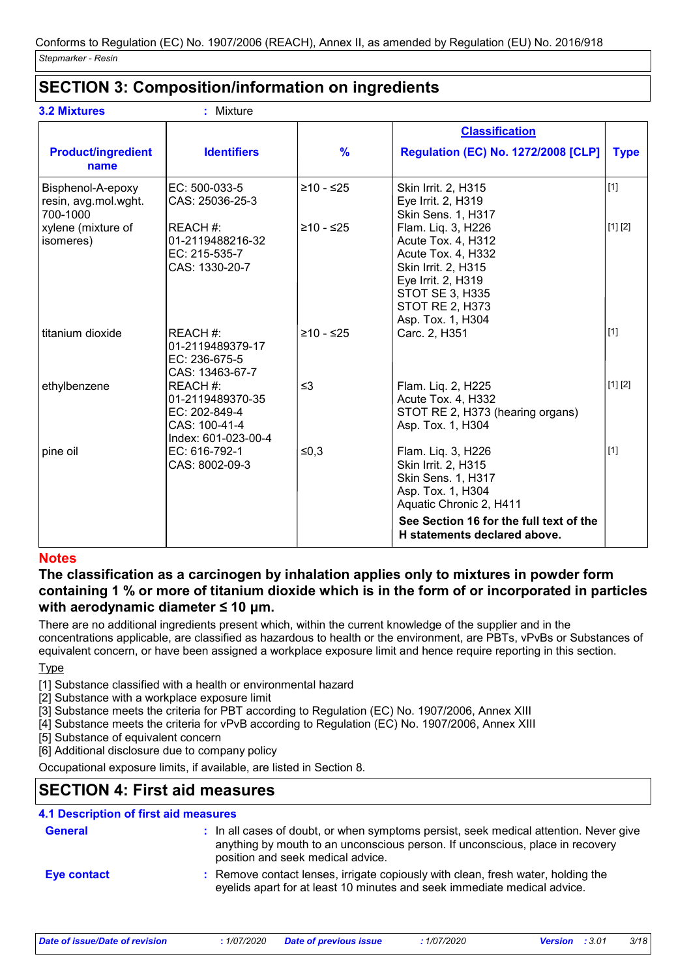### **SECTION 3: Composition/information on ingredients**

|                                                       |                                                                                       |               | <b>Classification</b>                                                                                                                                                                      |             |
|-------------------------------------------------------|---------------------------------------------------------------------------------------|---------------|--------------------------------------------------------------------------------------------------------------------------------------------------------------------------------------------|-------------|
| <b>Product/ingredient</b><br>name                     | <b>Identifiers</b>                                                                    | $\frac{9}{6}$ | <b>Regulation (EC) No. 1272/2008 [CLP]</b>                                                                                                                                                 | <b>Type</b> |
| Bisphenol-A-epoxy<br>resin, avg.mol.wght.<br>700-1000 | EC: 500-033-5<br>CAS: 25036-25-3                                                      | $≥10 - ≤25$   | Skin Irrit. 2, H315<br>Eye Irrit. 2, H319<br>Skin Sens. 1, H317                                                                                                                            | $[1]$       |
| xylene (mixture of<br>isomeres)                       | REACH#:<br>01-2119488216-32<br>EC: 215-535-7<br>CAS: 1330-20-7                        | $≥10 - ≤25$   | Flam. Liq. 3, H226<br>Acute Tox. 4, H312<br>Acute Tox. 4, H332<br>Skin Irrit. 2, H315<br>Eye Irrit. 2, H319<br><b>STOT SE 3, H335</b><br><b>STOT RE 2, H373</b><br>Asp. Tox. 1, H304       | [1] [2]     |
| titanium dioxide                                      | REACH#:<br>01-2119489379-17<br>EC: 236-675-5<br>CAS: 13463-67-7                       | $≥10 - ≤25$   | Carc. 2, H351                                                                                                                                                                              | [1]         |
| ethylbenzene                                          | REACH #:<br>01-2119489370-35<br>EC: 202-849-4<br>CAS: 100-41-4<br>Index: 601-023-00-4 | $\leq$ 3      | Flam. Liq. 2, H225<br>Acute Tox. 4, H332<br>STOT RE 2, H373 (hearing organs)<br>Asp. Tox. 1, H304                                                                                          | [1] [2]     |
| pine oil                                              | EC: 616-792-1<br>CAS: 8002-09-3                                                       | ≤ $0,3$       | Flam. Liq. 3, H226<br>Skin Irrit. 2, H315<br>Skin Sens. 1, H317<br>Asp. Tox. 1, H304<br>Aquatic Chronic 2, H411<br>See Section 16 for the full text of the<br>H statements declared above. | $[1]$       |

#### **Notes**

#### **The classification as a carcinogen by inhalation applies only to mixtures in powder form containing 1 % or more of titanium dioxide which is in the form of or incorporated in particles with aerodynamic diameter ≤ 10 μm.**

There are no additional ingredients present which, within the current knowledge of the supplier and in the concentrations applicable, are classified as hazardous to health or the environment, are PBTs, vPvBs or Substances of equivalent concern, or have been assigned a workplace exposure limit and hence require reporting in this section.

#### Type

[1] Substance classified with a health or environmental hazard

[2] Substance with a workplace exposure limit

[3] Substance meets the criteria for PBT according to Regulation (EC) No. 1907/2006, Annex XIII

[4] Substance meets the criteria for vPvB according to Regulation (EC) No. 1907/2006, Annex XIII

[5] Substance of equivalent concern

[6] Additional disclosure due to company policy

Occupational exposure limits, if available, are listed in Section 8.

### **SECTION 4: First aid measures**

#### **4.1 Description of first aid measures**

| <b>General</b>     | : In all cases of doubt, or when symptoms persist, seek medical attention. Never give<br>anything by mouth to an unconscious person. If unconscious, place in recovery<br>position and seek medical advice. |
|--------------------|-------------------------------------------------------------------------------------------------------------------------------------------------------------------------------------------------------------|
| <b>Eve contact</b> | : Remove contact lenses, irrigate copiously with clean, fresh water, holding the<br>eyelids apart for at least 10 minutes and seek immediate medical advice.                                                |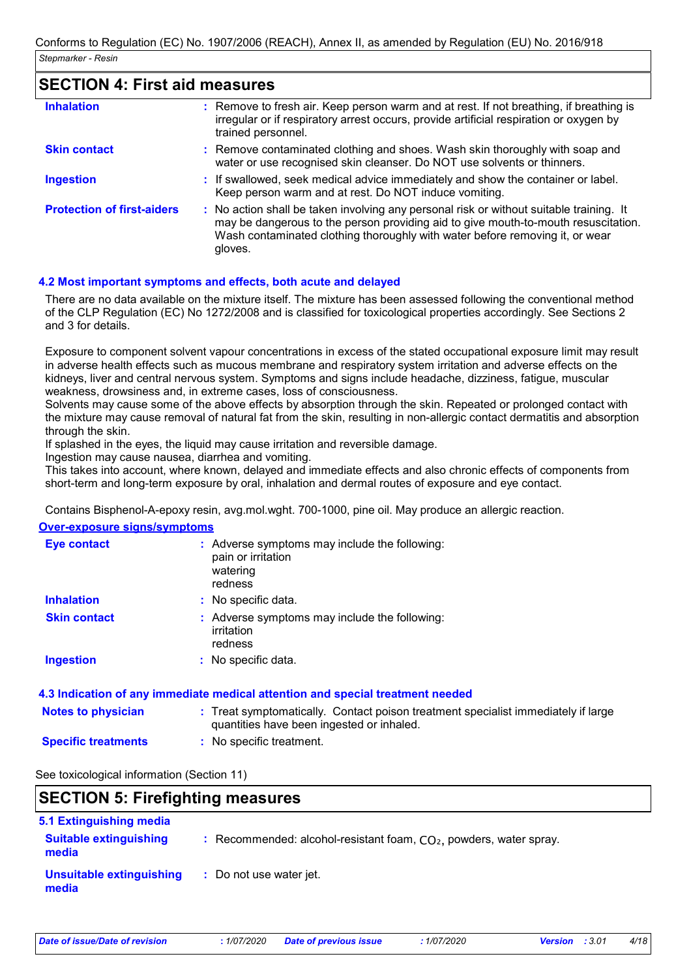### **SECTION 4: First aid measures**

| <b>Inhalation</b>                 | : Remove to fresh air. Keep person warm and at rest. If not breathing, if breathing is<br>irregular or if respiratory arrest occurs, provide artificial respiration or oxygen by<br>trained personnel.                                                                   |
|-----------------------------------|--------------------------------------------------------------------------------------------------------------------------------------------------------------------------------------------------------------------------------------------------------------------------|
| <b>Skin contact</b>               | : Remove contaminated clothing and shoes. Wash skin thoroughly with soap and<br>water or use recognised skin cleanser. Do NOT use solvents or thinners.                                                                                                                  |
| <b>Ingestion</b>                  | : If swallowed, seek medical advice immediately and show the container or label.<br>Keep person warm and at rest. Do NOT induce vomiting.                                                                                                                                |
| <b>Protection of first-aiders</b> | : No action shall be taken involving any personal risk or without suitable training. It<br>may be dangerous to the person providing aid to give mouth-to-mouth resuscitation.<br>Wash contaminated clothing thoroughly with water before removing it, or wear<br>gloves. |

#### **4.2 Most important symptoms and effects, both acute and delayed**

There are no data available on the mixture itself. The mixture has been assessed following the conventional method of the CLP Regulation (EC) No 1272/2008 and is classified for toxicological properties accordingly. See Sections 2 and 3 for details.

Exposure to component solvent vapour concentrations in excess of the stated occupational exposure limit may result in adverse health effects such as mucous membrane and respiratory system irritation and adverse effects on the kidneys, liver and central nervous system. Symptoms and signs include headache, dizziness, fatigue, muscular weakness, drowsiness and, in extreme cases, loss of consciousness.

Solvents may cause some of the above effects by absorption through the skin. Repeated or prolonged contact with the mixture may cause removal of natural fat from the skin, resulting in non-allergic contact dermatitis and absorption through the skin.

If splashed in the eyes, the liquid may cause irritation and reversible damage.

Ingestion may cause nausea, diarrhea and vomiting.

This takes into account, where known, delayed and immediate effects and also chronic effects of components from short-term and long-term exposure by oral, inhalation and dermal routes of exposure and eye contact.

Contains Bisphenol-A-epoxy resin, avg.mol.wght. 700-1000, pine oil. May produce an allergic reaction.

#### **Over-exposure signs/symptoms**

| <b>Eye contact</b>  | : Adverse symptoms may include the following:<br>pain or irritation<br>watering<br>redness |
|---------------------|--------------------------------------------------------------------------------------------|
| <b>Inhalation</b>   | : No specific data.                                                                        |
| <b>Skin contact</b> | : Adverse symptoms may include the following:<br>irritation<br>redness                     |
| <b>Ingestion</b>    | : No specific data.                                                                        |

#### **4.3 Indication of any immediate medical attention and special treatment needed**

| <b>Notes to physician</b>  | Treat symptomatically. Contact poison treatment specialist immediately if large<br>quantities have been ingested or inhaled. |
|----------------------------|------------------------------------------------------------------------------------------------------------------------------|
| <b>Specific treatments</b> | No specific treatment.                                                                                                       |

#### See toxicological information (Section 11)

| <b>SECTION 5: Firefighting measures</b>                           |                                                                      |
|-------------------------------------------------------------------|----------------------------------------------------------------------|
| 5.1 Extinguishing media<br><b>Suitable extinguishing</b><br>media | : Recommended: alcohol-resistant foam, $CO2$ , powders, water spray. |
| <b>Unsuitable extinguishing</b><br>media                          | : Do not use water jet.                                              |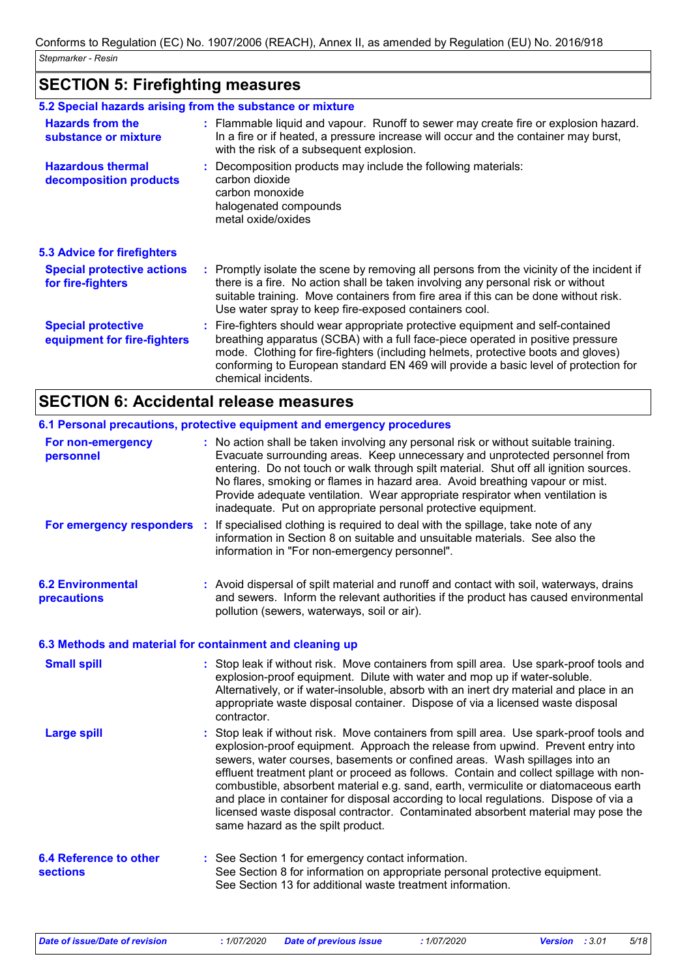### **SECTION 5: Firefighting measures**

|                                                          | 5.2 Special hazards arising from the substance or mixture                                                                                                                                                                                                                                                                                                             |
|----------------------------------------------------------|-----------------------------------------------------------------------------------------------------------------------------------------------------------------------------------------------------------------------------------------------------------------------------------------------------------------------------------------------------------------------|
| <b>Hazards from the</b><br>substance or mixture          | : Flammable liquid and vapour. Runoff to sewer may create fire or explosion hazard.<br>In a fire or if heated, a pressure increase will occur and the container may burst,<br>with the risk of a subsequent explosion.                                                                                                                                                |
| <b>Hazardous thermal</b><br>decomposition products       | : Decomposition products may include the following materials:<br>carbon dioxide<br>carbon monoxide<br>halogenated compounds<br>metal oxide/oxides                                                                                                                                                                                                                     |
| <b>5.3 Advice for firefighters</b>                       |                                                                                                                                                                                                                                                                                                                                                                       |
| <b>Special protective actions</b><br>for fire-fighters   | : Promptly isolate the scene by removing all persons from the vicinity of the incident if<br>there is a fire. No action shall be taken involving any personal risk or without<br>suitable training. Move containers from fire area if this can be done without risk.<br>Use water spray to keep fire-exposed containers cool.                                         |
| <b>Special protective</b><br>equipment for fire-fighters | : Fire-fighters should wear appropriate protective equipment and self-contained<br>breathing apparatus (SCBA) with a full face-piece operated in positive pressure<br>mode. Clothing for fire-fighters (including helmets, protective boots and gloves)<br>conforming to European standard EN 469 will provide a basic level of protection for<br>chemical incidents. |

### **SECTION 6: Accidental release measures**

|                                                          | 6.1 Personal precautions, protective equipment and emergency procedures                                                                                                                                                                                                                                                                                                                                                                                                                                                                                                                                                                                  |
|----------------------------------------------------------|----------------------------------------------------------------------------------------------------------------------------------------------------------------------------------------------------------------------------------------------------------------------------------------------------------------------------------------------------------------------------------------------------------------------------------------------------------------------------------------------------------------------------------------------------------------------------------------------------------------------------------------------------------|
| For non-emergency<br>personnel                           | : No action shall be taken involving any personal risk or without suitable training.<br>Evacuate surrounding areas. Keep unnecessary and unprotected personnel from<br>entering. Do not touch or walk through spilt material. Shut off all ignition sources.<br>No flares, smoking or flames in hazard area. Avoid breathing vapour or mist.<br>Provide adequate ventilation. Wear appropriate respirator when ventilation is<br>inadequate. Put on appropriate personal protective equipment.                                                                                                                                                           |
| For emergency responders :                               | If specialised clothing is required to deal with the spillage, take note of any<br>information in Section 8 on suitable and unsuitable materials. See also the<br>information in "For non-emergency personnel".                                                                                                                                                                                                                                                                                                                                                                                                                                          |
| <b>6.2 Environmental</b><br>precautions                  | : Avoid dispersal of spilt material and runoff and contact with soil, waterways, drains<br>and sewers. Inform the relevant authorities if the product has caused environmental<br>pollution (sewers, waterways, soil or air).                                                                                                                                                                                                                                                                                                                                                                                                                            |
| 6.3 Methods and material for containment and cleaning up |                                                                                                                                                                                                                                                                                                                                                                                                                                                                                                                                                                                                                                                          |
| <b>Small spill</b>                                       | : Stop leak if without risk. Move containers from spill area. Use spark-proof tools and<br>explosion-proof equipment. Dilute with water and mop up if water-soluble.<br>Alternatively, or if water-insoluble, absorb with an inert dry material and place in an<br>appropriate waste disposal container. Dispose of via a licensed waste disposal<br>contractor.                                                                                                                                                                                                                                                                                         |
| <b>Large spill</b>                                       | Stop leak if without risk. Move containers from spill area. Use spark-proof tools and<br>explosion-proof equipment. Approach the release from upwind. Prevent entry into<br>sewers, water courses, basements or confined areas. Wash spillages into an<br>effluent treatment plant or proceed as follows. Contain and collect spillage with non-<br>combustible, absorbent material e.g. sand, earth, vermiculite or diatomaceous earth<br>and place in container for disposal according to local regulations. Dispose of via a<br>licensed waste disposal contractor. Contaminated absorbent material may pose the<br>same hazard as the spilt product. |
| 6.4 Reference to other<br><b>sections</b>                | : See Section 1 for emergency contact information.<br>See Section 8 for information on appropriate personal protective equipment.<br>See Section 13 for additional waste treatment information.                                                                                                                                                                                                                                                                                                                                                                                                                                                          |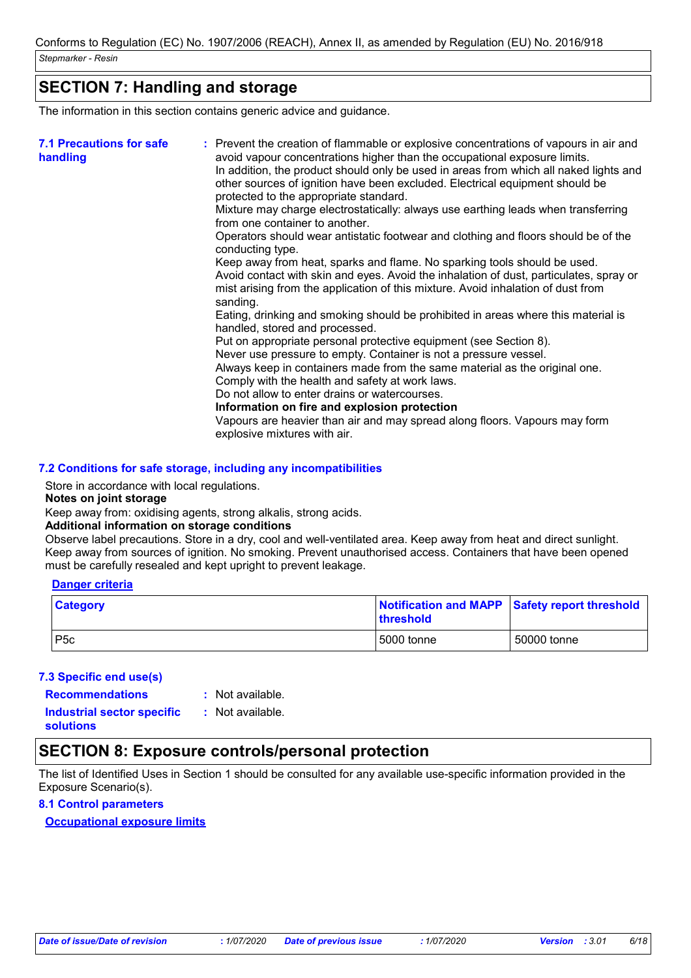### **SECTION 7: Handling and storage**

The information in this section contains generic advice and guidance.

| <b>7.1 Precautions for safe</b><br>handling | : Prevent the creation of flammable or explosive concentrations of vapours in air and<br>avoid vapour concentrations higher than the occupational exposure limits.<br>In addition, the product should only be used in areas from which all naked lights and<br>other sources of ignition have been excluded. Electrical equipment should be<br>protected to the appropriate standard.<br>Mixture may charge electrostatically: always use earthing leads when transferring<br>from one container to another.<br>Operators should wear antistatic footwear and clothing and floors should be of the<br>conducting type.<br>Keep away from heat, sparks and flame. No sparking tools should be used.<br>Avoid contact with skin and eyes. Avoid the inhalation of dust, particulates, spray or<br>mist arising from the application of this mixture. Avoid inhalation of dust from<br>sanding.<br>Eating, drinking and smoking should be prohibited in areas where this material is<br>handled, stored and processed.<br>Put on appropriate personal protective equipment (see Section 8).<br>Never use pressure to empty. Container is not a pressure vessel.<br>Always keep in containers made from the same material as the original one.<br>Comply with the health and safety at work laws.<br>Do not allow to enter drains or watercourses.<br>Information on fire and explosion protection<br>Vapours are heavier than air and may spread along floors. Vapours may form<br>explosive mixtures with air. |
|---------------------------------------------|--------------------------------------------------------------------------------------------------------------------------------------------------------------------------------------------------------------------------------------------------------------------------------------------------------------------------------------------------------------------------------------------------------------------------------------------------------------------------------------------------------------------------------------------------------------------------------------------------------------------------------------------------------------------------------------------------------------------------------------------------------------------------------------------------------------------------------------------------------------------------------------------------------------------------------------------------------------------------------------------------------------------------------------------------------------------------------------------------------------------------------------------------------------------------------------------------------------------------------------------------------------------------------------------------------------------------------------------------------------------------------------------------------------------------------------------------------------------------------------------------------------|
|---------------------------------------------|--------------------------------------------------------------------------------------------------------------------------------------------------------------------------------------------------------------------------------------------------------------------------------------------------------------------------------------------------------------------------------------------------------------------------------------------------------------------------------------------------------------------------------------------------------------------------------------------------------------------------------------------------------------------------------------------------------------------------------------------------------------------------------------------------------------------------------------------------------------------------------------------------------------------------------------------------------------------------------------------------------------------------------------------------------------------------------------------------------------------------------------------------------------------------------------------------------------------------------------------------------------------------------------------------------------------------------------------------------------------------------------------------------------------------------------------------------------------------------------------------------------|

#### **7.2 Conditions for safe storage, including any incompatibilities**

Store in accordance with local regulations.

**Notes on joint storage**

Keep away from: oxidising agents, strong alkalis, strong acids.

#### **Additional information on storage conditions**

Observe label precautions. Store in a dry, cool and well-ventilated area. Keep away from heat and direct sunlight. Keep away from sources of ignition. No smoking. Prevent unauthorised access. Containers that have been opened must be carefully resealed and kept upright to prevent leakage.

#### **Danger criteria**

| <b>Category</b> | <b>threshold</b> | Notification and MAPP Safety report threshold |
|-----------------|------------------|-----------------------------------------------|
| P5c             | 5000 tonne       | 50000 tonne                                   |

#### **7.3 Specific end use(s)**

**Recommendations :**

: Not available. : Not available.

**Industrial sector specific : solutions**

### **SECTION 8: Exposure controls/personal protection**

The list of Identified Uses in Section 1 should be consulted for any available use-specific information provided in the Exposure Scenario(s).

#### **8.1 Control parameters**

**Occupational exposure limits**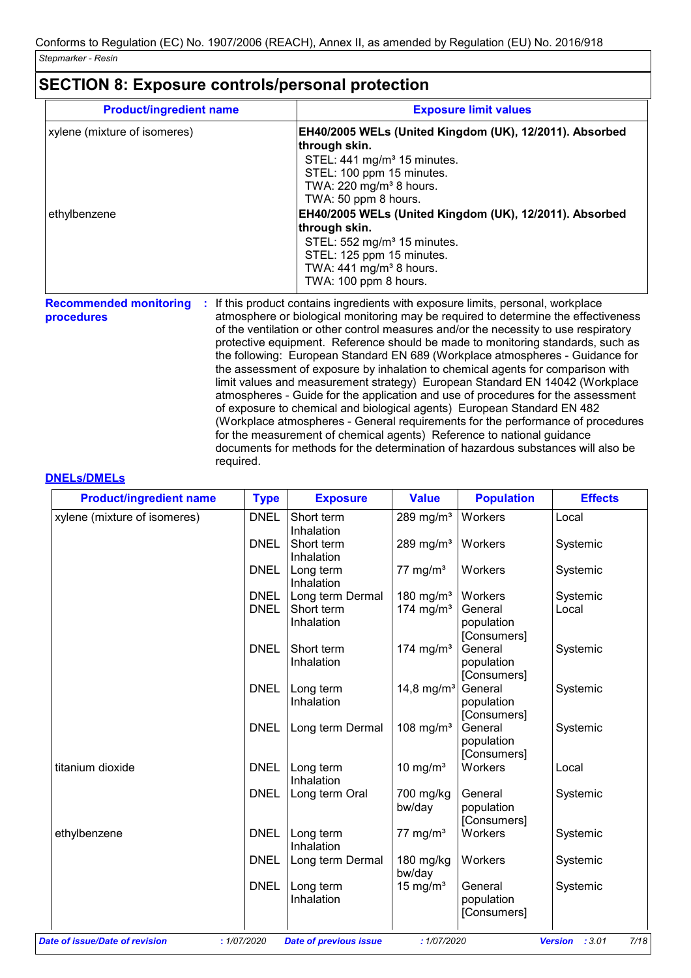### **SECTION 8: Exposure controls/personal protection**

| <b>Product/ingredient name</b>               |    | <b>Exposure limit values</b>                                                                                                                                                                                                                                                                                                                                                                                                          |  |  |
|----------------------------------------------|----|---------------------------------------------------------------------------------------------------------------------------------------------------------------------------------------------------------------------------------------------------------------------------------------------------------------------------------------------------------------------------------------------------------------------------------------|--|--|
| xylene (mixture of isomeres)<br>ethylbenzene |    | EH40/2005 WELs (United Kingdom (UK), 12/2011). Absorbed<br>through skin.<br>STEL: 441 mg/m <sup>3</sup> 15 minutes.<br>STEL: 100 ppm 15 minutes.<br>TWA: 220 mg/m <sup>3</sup> 8 hours.<br>TWA: 50 ppm 8 hours.<br>EH40/2005 WELs (United Kingdom (UK), 12/2011). Absorbed<br>through skin.<br>STEL: 552 mg/m <sup>3</sup> 15 minutes.<br>STEL: 125 ppm 15 minutes.<br>TWA: $441$ mg/m <sup>3</sup> 8 hours.<br>TWA: 100 ppm 8 hours. |  |  |
| <b>Recommended monitoring</b><br>procedures  | ÷. | If this product contains ingredients with exposure limits, personal, workplace<br>atmosphere or biological monitoring may be required to determine the effectiveness<br>of the ventilation or other control measures and/or the necessity to use respiratory<br>protective equipment. Reference should be made to monitoring standards, such as<br>the following: European Standard EN 689 (Workplace atmospheres - Guidance for      |  |  |

the following: European Standard EN 689 (Workplace atmosphere the assessment of exposure by inhalation to chemical agents for comparison with limit values and measurement strategy) European Standard EN 14042 (Workplace atmospheres - Guide for the application and use of procedures for the assessment of exposure to chemical and biological agents) European Standard EN 482 (Workplace atmospheres - General requirements for the performance of procedures for the measurement of chemical agents) Reference to national guidance documents for methods for the determination of hazardous substances will also be required.

#### **DNELs/DMELs**

| <b>Product/ingredient name</b> | <b>Type</b> | <b>Exposure</b>          | <b>Value</b>           | <b>Population</b>                    | <b>Effects</b> |
|--------------------------------|-------------|--------------------------|------------------------|--------------------------------------|----------------|
| xylene (mixture of isomeres)   | <b>DNEL</b> | Short term<br>Inhalation | 289 mg/m <sup>3</sup>  | Workers                              | Local          |
|                                | <b>DNEL</b> | Short term<br>Inhalation | 289 mg/m <sup>3</sup>  | Workers                              | Systemic       |
|                                | <b>DNEL</b> | Long term<br>Inhalation  | 77 mg/ $m3$            | Workers                              | Systemic       |
|                                | <b>DNEL</b> | Long term Dermal         | 180 mg/ $m3$           | Workers                              | Systemic       |
|                                | <b>DNEL</b> | Short term<br>Inhalation | 174 mg/m <sup>3</sup>  | General<br>population<br>[Consumers] | Local          |
|                                | <b>DNEL</b> | Short term<br>Inhalation | 174 mg/ $m3$           | General<br>population<br>[Consumers] | Systemic       |
|                                | <b>DNEL</b> | Long term<br>Inhalation  | 14,8 mg/m <sup>3</sup> | General<br>population<br>[Consumers] | Systemic       |
|                                | <b>DNEL</b> | Long term Dermal         | 108 mg/ $m3$           | General<br>population<br>[Consumers] | Systemic       |
| titanium dioxide               | <b>DNEL</b> | Long term<br>Inhalation  | 10 mg/ $m3$            | Workers                              | Local          |
|                                | <b>DNEL</b> | Long term Oral           | 700 mg/kg<br>bw/day    | General<br>population<br>[Consumers] | Systemic       |
| ethylbenzene                   | <b>DNEL</b> | Long term<br>Inhalation  | 77 mg/m <sup>3</sup>   | Workers                              | Systemic       |
|                                | <b>DNEL</b> | Long term Dermal         | $180$ mg/kg<br>bw/day  | Workers                              | Systemic       |
|                                | <b>DNEL</b> | Long term<br>Inhalation  | 15 mg/ $m3$            | General<br>population<br>[Consumers] | Systemic       |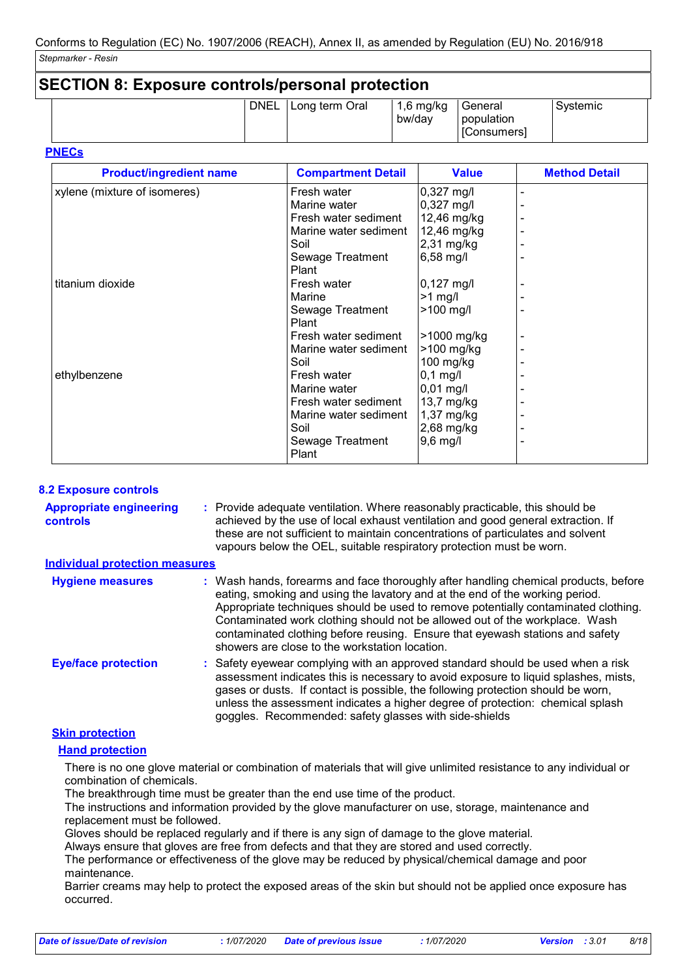### **SECTION 8: Exposure controls/personal protection**

| <b>DNEL</b> | Long term Oral | 1,6 mg/kg<br>bw/dav | General<br>population<br>[Consumers] | Systemic |
|-------------|----------------|---------------------|--------------------------------------|----------|
|-------------|----------------|---------------------|--------------------------------------|----------|

**PNECs**

| <b>Product/ingredient name</b> | <b>Compartment Detail</b> | <b>Value</b>         | <b>Method Detail</b> |
|--------------------------------|---------------------------|----------------------|----------------------|
| xylene (mixture of isomeres)   | Fresh water               | $0,327$ mg/l         |                      |
|                                | Marine water              | 0,327 mg/l           |                      |
|                                | Fresh water sediment      | 12,46 mg/kg          |                      |
|                                | Marine water sediment     | 12,46 mg/kg          |                      |
|                                | Soil                      | $2,31$ mg/kg         |                      |
|                                | Sewage Treatment          | $6,58$ mg/l          |                      |
|                                | Plant                     |                      |                      |
| titanium dioxide               | Fresh water               | $ 0,127 \text{ mg/}$ |                      |
|                                | Marine                    | $>1$ mg/l            |                      |
|                                | Sewage Treatment          | $>100$ mg/l          |                      |
|                                | Plant                     |                      |                      |
|                                | Fresh water sediment      | >1000 mg/kg          |                      |
|                                | Marine water sediment     | >100 mg/kg           |                      |
|                                | Soil                      | $100$ mg/kg          |                      |
| ethylbenzene                   | Fresh water               | $0,1$ mg/l           |                      |
|                                | Marine water              | $0,01$ mg/l          |                      |
|                                | Fresh water sediment      | $13,7$ mg/kg         |                      |
|                                | Marine water sediment     | $1,37$ mg/kg         |                      |
|                                | Soil                      | $2,68$ mg/kg         |                      |
|                                | Sewage Treatment          | $9,6$ mg/l           |                      |
|                                | Plant                     |                      |                      |

| <b>8.2 Exposure controls</b><br><b>Appropriate engineering</b><br><b>controls</b> | : Provide adequate ventilation. Where reasonably practicable, this should be<br>achieved by the use of local exhaust ventilation and good general extraction. If<br>these are not sufficient to maintain concentrations of particulates and solvent<br>vapours below the OEL, suitable respiratory protection must be worn.                                                                                                                                                 |
|-----------------------------------------------------------------------------------|-----------------------------------------------------------------------------------------------------------------------------------------------------------------------------------------------------------------------------------------------------------------------------------------------------------------------------------------------------------------------------------------------------------------------------------------------------------------------------|
| <b>Individual protection measures</b>                                             |                                                                                                                                                                                                                                                                                                                                                                                                                                                                             |
| <b>Hygiene measures</b>                                                           | : Wash hands, forearms and face thoroughly after handling chemical products, before<br>eating, smoking and using the lavatory and at the end of the working period.<br>Appropriate techniques should be used to remove potentially contaminated clothing.<br>Contaminated work clothing should not be allowed out of the workplace. Wash<br>contaminated clothing before reusing. Ensure that eyewash stations and safety<br>showers are close to the workstation location. |
| <b>Eye/face protection</b>                                                        | : Safety eyewear complying with an approved standard should be used when a risk<br>assessment indicates this is necessary to avoid exposure to liquid splashes, mists,<br>gases or dusts. If contact is possible, the following protection should be worn,<br>unless the assessment indicates a higher degree of protection: chemical splash<br>goggles. Recommended: safety glasses with side-shields                                                                      |
| <b>Skin protection</b>                                                            |                                                                                                                                                                                                                                                                                                                                                                                                                                                                             |

#### **Hand protection**

There is no one glove material or combination of materials that will give unlimited resistance to any individual or combination of chemicals.

The breakthrough time must be greater than the end use time of the product.

The instructions and information provided by the glove manufacturer on use, storage, maintenance and replacement must be followed.

Gloves should be replaced regularly and if there is any sign of damage to the glove material.

Always ensure that gloves are free from defects and that they are stored and used correctly.

The performance or effectiveness of the glove may be reduced by physical/chemical damage and poor maintenance.

Barrier creams may help to protect the exposed areas of the skin but should not be applied once exposure has occurred.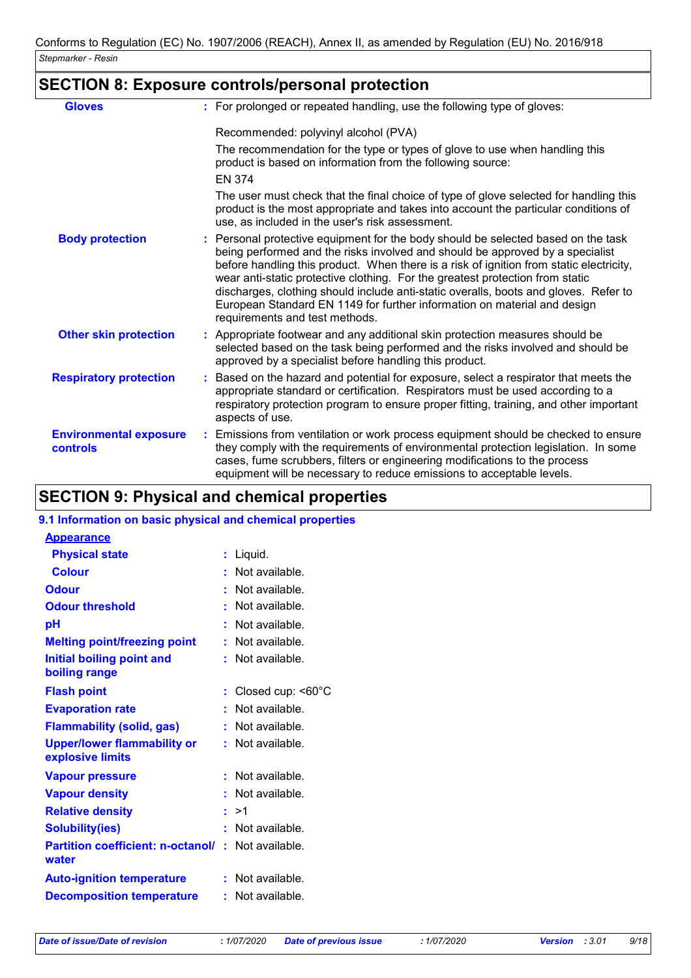### **SECTION 8: Exposure controls/personal protection**

| <b>Gloves</b>                             | : For prolonged or repeated handling, use the following type of gloves:                                                                                                                                                                                                                                                                                                                                                                                                                                                                              |
|-------------------------------------------|------------------------------------------------------------------------------------------------------------------------------------------------------------------------------------------------------------------------------------------------------------------------------------------------------------------------------------------------------------------------------------------------------------------------------------------------------------------------------------------------------------------------------------------------------|
|                                           | Recommended: polyvinyl alcohol (PVA)                                                                                                                                                                                                                                                                                                                                                                                                                                                                                                                 |
|                                           | The recommendation for the type or types of glove to use when handling this<br>product is based on information from the following source:<br><b>EN 374</b>                                                                                                                                                                                                                                                                                                                                                                                           |
|                                           | The user must check that the final choice of type of glove selected for handling this<br>product is the most appropriate and takes into account the particular conditions of<br>use, as included in the user's risk assessment.                                                                                                                                                                                                                                                                                                                      |
| <b>Body protection</b>                    | : Personal protective equipment for the body should be selected based on the task<br>being performed and the risks involved and should be approved by a specialist<br>before handling this product. When there is a risk of ignition from static electricity,<br>wear anti-static protective clothing. For the greatest protection from static<br>discharges, clothing should include anti-static overalls, boots and gloves. Refer to<br>European Standard EN 1149 for further information on material and design<br>requirements and test methods. |
| <b>Other skin protection</b>              | : Appropriate footwear and any additional skin protection measures should be<br>selected based on the task being performed and the risks involved and should be<br>approved by a specialist before handling this product.                                                                                                                                                                                                                                                                                                                            |
| <b>Respiratory protection</b>             | : Based on the hazard and potential for exposure, select a respirator that meets the<br>appropriate standard or certification. Respirators must be used according to a<br>respiratory protection program to ensure proper fitting, training, and other important<br>aspects of use.                                                                                                                                                                                                                                                                  |
| <b>Environmental exposure</b><br>controls | : Emissions from ventilation or work process equipment should be checked to ensure<br>they comply with the requirements of environmental protection legislation. In some<br>cases, fume scrubbers, filters or engineering modifications to the process<br>equipment will be necessary to reduce emissions to acceptable levels.                                                                                                                                                                                                                      |

### **SECTION 9: Physical and chemical properties**

#### **9.1 Information on basic physical and chemical properties**

| <b>Appearance</b>                                      |                               |
|--------------------------------------------------------|-------------------------------|
| <b>Physical state</b>                                  | Liquid.                       |
| <b>Colour</b>                                          | : Not available.              |
| <b>Odour</b>                                           | : Not available.              |
| <b>Odour threshold</b>                                 | Not available.                |
| рH                                                     | Not available.                |
| Melting point/freezing point                           | Not available.                |
| <b>Initial boiling point and</b><br>boiling range      | : Not available.              |
| <b>Flash point</b>                                     | : Closed cup: $<60^{\circ}$ C |
| <b>Evaporation rate</b>                                | : Not available.              |
| <b>Flammability (solid, gas)</b>                       | : Not available.              |
| <b>Upper/lower flammability or</b><br>explosive limits | : Not available.              |
| <b>Vapour pressure</b>                                 | $:$ Not available.            |
| <b>Vapour density</b>                                  | : Not available.              |
| <b>Relative density</b>                                | : >1                          |
| <b>Solubility(ies)</b>                                 | Not available.                |
| <b>Partition coefficient: n-octanol/</b><br>water      | $:$ Not available.            |
| <b>Auto-ignition temperature</b>                       | : Not available.              |
| <b>Decomposition temperature</b>                       | Not available.                |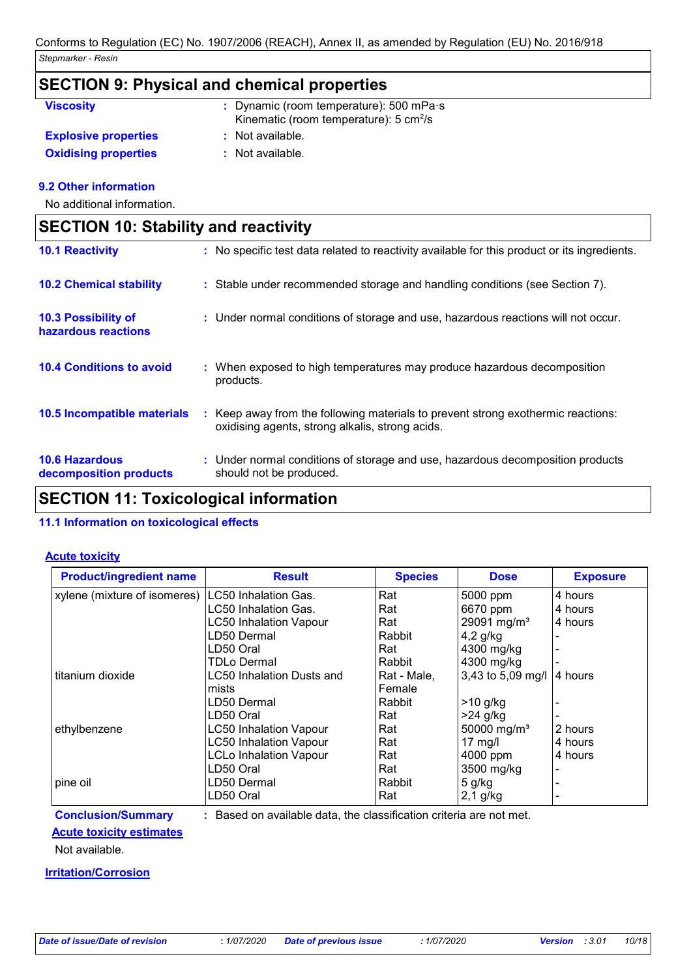### **SECTION 9: Physical and chemical properties**

- **Viscosity Dynamic (room temperature): 500 mPa·s Dynamic (room temperature): 500 mPa**·s Kinematic (room temperature): 5 cm<sup>2</sup>/s
- **Explosive properties : Oxidising properties : Not available.**
- : Not available.
	-

### **9.2 Other information**

No additional information.

| <b>SECTION 10: Stability and reactivity</b>     |                                                                                                                                     |  |  |  |
|-------------------------------------------------|-------------------------------------------------------------------------------------------------------------------------------------|--|--|--|
| <b>10.1 Reactivity</b>                          | : No specific test data related to reactivity available for this product or its ingredients.                                        |  |  |  |
| <b>10.2 Chemical stability</b>                  | : Stable under recommended storage and handling conditions (see Section 7).                                                         |  |  |  |
| 10.3 Possibility of<br>hazardous reactions      | : Under normal conditions of storage and use, hazardous reactions will not occur.                                                   |  |  |  |
| <b>10.4 Conditions to avoid</b>                 | : When exposed to high temperatures may produce hazardous decomposition<br>products.                                                |  |  |  |
| 10.5 Incompatible materials                     | : Keep away from the following materials to prevent strong exothermic reactions:<br>oxidising agents, strong alkalis, strong acids. |  |  |  |
| <b>10.6 Hazardous</b><br>decomposition products | : Under normal conditions of storage and use, hazardous decomposition products<br>should not be produced.                           |  |  |  |

### **SECTION 11: Toxicological information**

#### **11.1 Information on toxicological effects**

#### **Acute toxicity**

| <b>Product/ingredient name</b> | <b>Result</b>                    | <b>Species</b> | <b>Dose</b>             | <b>Exposure</b> |
|--------------------------------|----------------------------------|----------------|-------------------------|-----------------|
| xylene (mixture of isomeres)   | <b>LC50 Inhalation Gas.</b>      | Rat            | 5000 ppm                | 4 hours         |
|                                | LC50 Inhalation Gas.             | Rat            | 6670 ppm                | 4 hours         |
|                                | <b>LC50 Inhalation Vapour</b>    | Rat            | 29091 mg/m <sup>3</sup> | 4 hours         |
|                                | LD50 Dermal                      | Rabbit         | $4,2$ g/kg              |                 |
|                                | LD50 Oral                        | Rat            | 4300 mg/kg              |                 |
|                                | TDLo Dermal                      | Rabbit         | 4300 mg/kg              |                 |
| titanium dioxide               | <b>LC50 Inhalation Dusts and</b> | Rat - Male,    | 3,43 to 5,09 mg/l       | 4 hours         |
|                                | mists                            | Female         |                         |                 |
|                                | LD50 Dermal                      | Rabbit         | $>10$ g/kg              |                 |
|                                | LD50 Oral                        | Rat            | $>24$ g/kg              |                 |
| ethylbenzene                   | <b>LC50 Inhalation Vapour</b>    | Rat            | 50000 mg/m <sup>3</sup> | 2 hours         |
|                                | <b>LC50 Inhalation Vapour</b>    | Rat            | 17 $mg/l$               | 4 hours         |
|                                | <b>LCLo Inhalation Vapour</b>    | Rat            | 4000 ppm                | 4 hours         |
|                                | LD50 Oral                        | Rat            | 3500 mg/kg              |                 |
| pine oil                       | LD50 Dermal                      | Rabbit         | $5$ g/kg                |                 |
|                                | LD50 Oral                        | Rat            | $2,1$ g/kg              |                 |

**Conclusion/Summary :** Based on available data, the classification criteria are not met.

**Acute toxicity estimates**

Not available.

**Irritation/Corrosion**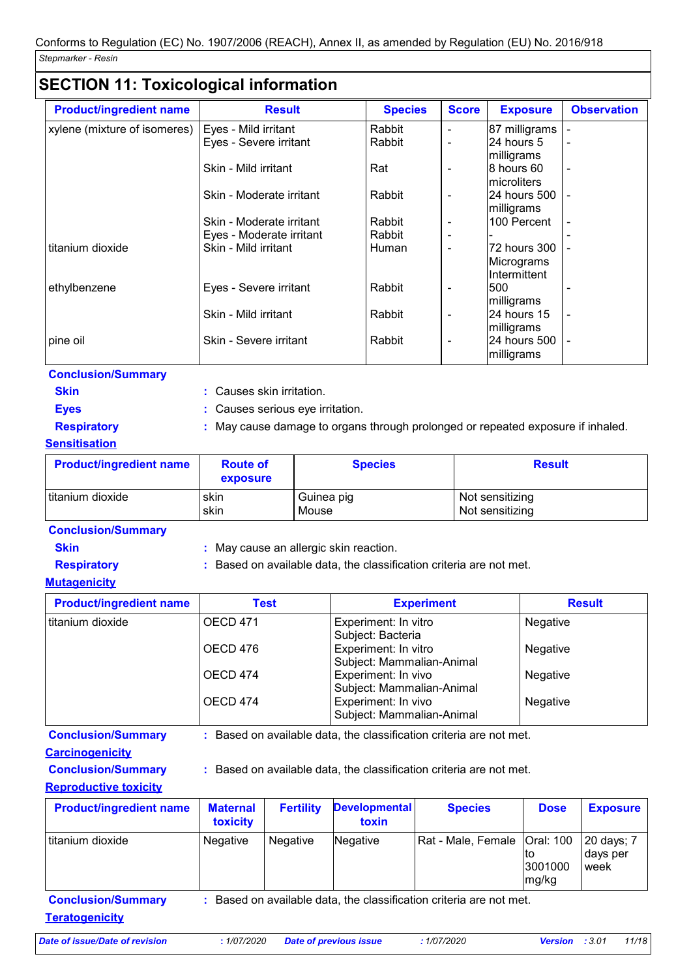### **SECTION 11: Toxicological information**

| <b>Product/ingredient name</b> | <b>Result</b>            | <b>Species</b> | <b>Score</b>             | <b>Exposure</b>                             | <b>Observation</b>       |
|--------------------------------|--------------------------|----------------|--------------------------|---------------------------------------------|--------------------------|
| xylene (mixture of isomeres)   | Eyes - Mild irritant     | Rabbit         | $\overline{\phantom{a}}$ | 87 milligrams                               |                          |
|                                | Eyes - Severe irritant   | Rabbit         | $\qquad \qquad$          | 24 hours 5<br>milligrams                    | $\overline{\phantom{a}}$ |
|                                | Skin - Mild irritant     | Rat            | $\overline{\phantom{a}}$ | 8 hours 60<br>Imicroliters                  | $\overline{\phantom{a}}$ |
|                                | Skin - Moderate irritant | Rabbit         | $\overline{\phantom{a}}$ | 124 hours 500 1<br>milligrams               | $\overline{\phantom{a}}$ |
|                                | Skin - Moderate irritant | Rabbit         | $\overline{\phantom{a}}$ | 100 Percent                                 |                          |
|                                | Eyes - Moderate irritant | Rabbit         |                          |                                             |                          |
| titanium dioxide               | Skin - Mild irritant     | Human          | $\overline{\phantom{a}}$ | l72 hours 300<br>Micrograms<br>Intermittent |                          |
| ethylbenzene                   | Eyes - Severe irritant   | Rabbit         | $\overline{\phantom{a}}$ | 500<br>milligrams                           |                          |
|                                | Skin - Mild irritant     | Rabbit         | $\overline{\phantom{a}}$ | 24 hours 15<br>milligrams                   | $\blacksquare$           |
| pine oil                       | Skin - Severe irritant   | Rabbit         | $\overline{\phantom{a}}$ | l24 hours 500<br>milligrams                 |                          |

**Conclusion/Summary**

**Skin :** Causes skin irritation.

**Eyes :** Causes serious eye irritation.

**Respiratory :** May cause damage to organs through prolonged or repeated exposure if inhaled.

## **Sensitisation**

| <b>Product/ingredient name</b> | <b>Route of</b><br>exposure | <b>Species</b> | <b>Result</b>   |
|--------------------------------|-----------------------------|----------------|-----------------|
| l titanium dioxide             | skin                        | Guinea pig     | Not sensitizing |
|                                | skin                        | Mouse          | Not sensitizing |

#### **Conclusion/Summary**

**Skin :** May cause an allergic skin reaction.

**Respiratory :** Based on available data, the classification criteria are not met.

#### **Mutagenicity**

| <b>Product/ingredient name</b> | <b>Test</b>     | <b>Experiment</b>                                 | <b>Result</b>   |
|--------------------------------|-----------------|---------------------------------------------------|-----------------|
| titanium dioxide               | <b>OECD 471</b> | Experiment: In vitro<br>Subject: Bacteria         | <b>Negative</b> |
|                                | OECD 476        | Experiment: In vitro<br>Subject: Mammalian-Animal | <b>Negative</b> |
|                                | OECD 474        | Experiment: In vivo<br>Subject: Mammalian-Animal  | <b>Negative</b> |
|                                | OECD 474        | Experiment: In vivo<br>Subject: Mammalian-Animal  | <b>Negative</b> |

**Conclusion/Summary :** Based on available data, the classification criteria are not met.

### **Carcinogenicity**

**Conclusion/Summary :** Based on available data, the classification criteria are not met.

### **Reproductive toxicity**

| <b>Product/ingredient name</b> | <b>Maternal</b><br>toxicity | <b>Fertility</b> | <b>Developmental</b><br>toxin | <b>Species</b>                                                      | <b>Dose</b>                         | <b>Exposure</b>                       |
|--------------------------------|-----------------------------|------------------|-------------------------------|---------------------------------------------------------------------|-------------------------------------|---------------------------------------|
| titanium dioxide               | <b>Negative</b>             | <b>Negative</b>  | Negative                      | Rat - Male, Female                                                  | Oral: 100<br>ΙO<br>3001000<br>mg/kg | 20 days; 7<br>days per<br><b>week</b> |
| <b>Conclusion/Summary</b>      |                             |                  |                               | : Based on available data, the classification criteria are not met. |                                     |                                       |
| <b>Teratogenicity</b>          |                             |                  |                               |                                                                     |                                     |                                       |

*Date of issue/Date of revision* **:** *1/07/2020 Date of previous issue : 1/07/2020 Version : 3.01 11/18*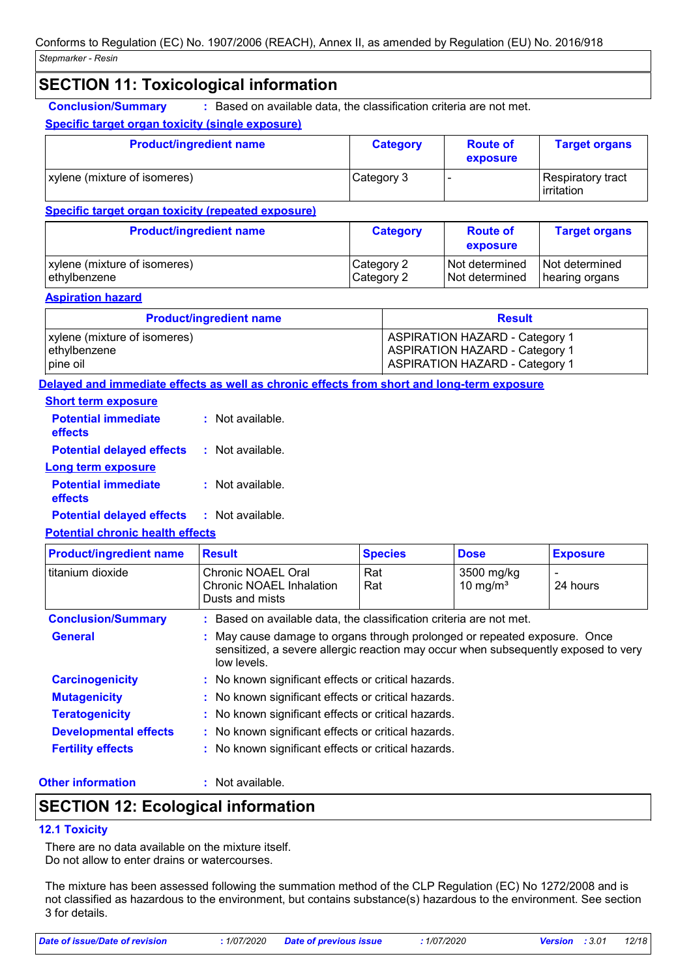### **SECTION 11: Toxicological information**

**Conclusion/Summary :** Based on available data, the classification criteria are not met.

#### **Specific target organ toxicity (single exposure)**

| <b>Product/ingredient name</b> | <b>Category</b> | <b>Route of</b><br>exposure | <b>Target organs</b>            |
|--------------------------------|-----------------|-----------------------------|---------------------------------|
| xylene (mixture of isomeres)   | Category 3      |                             | Respiratory tract<br>irritation |

#### **Specific target organ toxicity (repeated exposure)**

| <b>Product/ingredient name</b> | <b>Category</b> | <b>Route of</b><br>exposure | <b>Target organs</b> |
|--------------------------------|-----------------|-----------------------------|----------------------|
| xylene (mixture of isomeres)   | Category 2      | Not determined              | I Not determined     |
| ethylbenzene                   | Category 2      | Not determined              | hearing organs       |

#### **Aspiration hazard**

| <b>Product/ingredient name</b>               | <b>Result</b>                                                                  |
|----------------------------------------------|--------------------------------------------------------------------------------|
| xylene (mixture of isomeres)<br>ethylbenzene | <b>ASPIRATION HAZARD - Category 1</b><br><b>ASPIRATION HAZARD - Category 1</b> |
| pine oil                                     | <b>ASPIRATION HAZARD - Category 1</b>                                          |

#### **Delayed and immediate effects as well as chronic effects from short and long-term exposure**

| <b>Short term exposure</b>            |                    |
|---------------------------------------|--------------------|
| <b>Potential immediate</b><br>effects | : Not available.   |
| <b>Potential delayed effects</b>      | : Not available.   |
| Long term exposure                    |                    |
| <b>Potential immediate</b><br>effects | $:$ Not available. |
|                                       |                    |

**Potential delayed effects :** Not available.

#### **Potential chronic health effects**

| <b>Product/ingredient name</b> | <b>Result</b>                                                                                                                                                                | <b>Species</b> | <b>Dose</b>               | <b>Exposure</b>                      |  |  |
|--------------------------------|------------------------------------------------------------------------------------------------------------------------------------------------------------------------------|----------------|---------------------------|--------------------------------------|--|--|
| l titanium dioxide             | Chronic NOAEL Oral<br>Chronic NOAEL Inhalation<br>Dusts and mists                                                                                                            | Rat<br>Rat     | 3500 mg/kg<br>10 mg/ $m3$ | $\overline{\phantom{0}}$<br>24 hours |  |  |
| <b>Conclusion/Summary</b>      | Based on available data, the classification criteria are not met.                                                                                                            |                |                           |                                      |  |  |
| <b>General</b>                 | May cause damage to organs through prolonged or repeated exposure. Once<br>sensitized, a severe allergic reaction may occur when subsequently exposed to very<br>low levels. |                |                           |                                      |  |  |
| <b>Carcinogenicity</b>         | : No known significant effects or critical hazards.                                                                                                                          |                |                           |                                      |  |  |
| <b>Mutagenicity</b>            | : No known significant effects or critical hazards.                                                                                                                          |                |                           |                                      |  |  |
| <b>Teratogenicity</b>          | : No known significant effects or critical hazards.                                                                                                                          |                |                           |                                      |  |  |
| <b>Developmental effects</b>   | : No known significant effects or critical hazards.                                                                                                                          |                |                           |                                      |  |  |
| <b>Fertility effects</b>       | : No known significant effects or critical hazards.                                                                                                                          |                |                           |                                      |  |  |

#### **Other information :**

: Not available.

### **SECTION 12: Ecological information**

#### **12.1 Toxicity**

There are no data available on the mixture itself. Do not allow to enter drains or watercourses.

The mixture has been assessed following the summation method of the CLP Regulation (EC) No 1272/2008 and is not classified as hazardous to the environment, but contains substance(s) hazardous to the environment. See section 3 for details.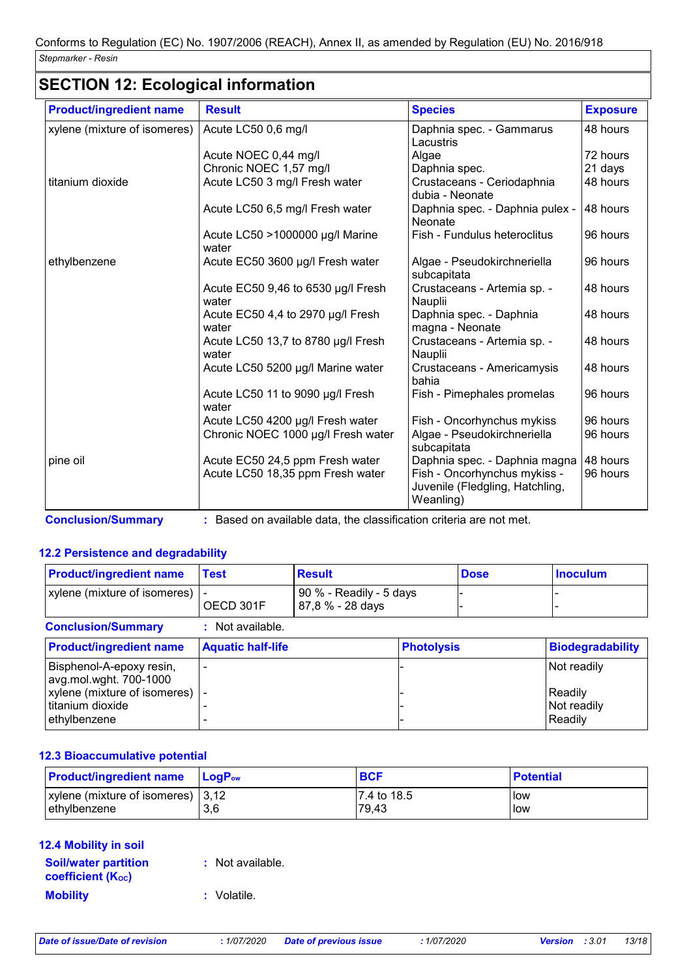### **SECTION 12: Ecological information**

| <b>Product/ingredient name</b> | <b>Result</b>                               | <b>Species</b>                                                               | <b>Exposure</b> |
|--------------------------------|---------------------------------------------|------------------------------------------------------------------------------|-----------------|
| xylene (mixture of isomeres)   | Acute LC50 0,6 mg/l                         | Daphnia spec. - Gammarus<br>Lacustris                                        | 48 hours        |
|                                | Acute NOEC 0,44 mg/l                        | Algae                                                                        | 72 hours        |
|                                | Chronic NOEC 1,57 mg/l                      | Daphnia spec.                                                                | 21 days         |
| titanium dioxide               | Acute LC50 3 mg/l Fresh water               | Crustaceans - Ceriodaphnia<br>dubia - Neonate                                | 48 hours        |
|                                | Acute LC50 6,5 mg/l Fresh water             | Daphnia spec. - Daphnia pulex -<br><b>Neonate</b>                            | 48 hours        |
|                                | Acute LC50 >1000000 µg/l Marine<br>water    | Fish - Fundulus heteroclitus                                                 | 96 hours        |
| ethylbenzene                   | Acute EC50 3600 µg/l Fresh water            | Algae - Pseudokirchneriella<br>subcapitata                                   | 96 hours        |
|                                | Acute EC50 9,46 to 6530 µg/l Fresh<br>water | Crustaceans - Artemia sp. -<br>Nauplii                                       | 48 hours        |
|                                | Acute EC50 4,4 to 2970 µg/l Fresh<br>water  | Daphnia spec. - Daphnia<br>magna - Neonate                                   | 48 hours        |
|                                | Acute LC50 13,7 to 8780 µg/l Fresh<br>water | Crustaceans - Artemia sp. -<br>Nauplii                                       | 48 hours        |
|                                | Acute LC50 5200 µg/l Marine water           | Crustaceans - Americamysis<br>bahia                                          | 48 hours        |
|                                | Acute LC50 11 to 9090 µg/l Fresh<br>water   | Fish - Pimephales promelas                                                   | 96 hours        |
|                                | Acute LC50 4200 µg/l Fresh water            | Fish - Oncorhynchus mykiss                                                   | 96 hours        |
|                                | Chronic NOEC 1000 µg/l Fresh water          | Algae - Pseudokirchneriella<br>subcapitata                                   | 96 hours        |
| pine oil                       | Acute EC50 24,5 ppm Fresh water             | Daphnia spec. - Daphnia magna                                                | 48 hours        |
|                                | Acute LC50 18,35 ppm Fresh water            | Fish - Oncorhynchus mykiss -<br>Juvenile (Fledgling, Hatchling,<br>Weanling) | 96 hours        |

#### **12.2 Persistence and degradability**

| <b>Product/ingredient name</b>                     | <b>Test</b>              | <b>Result</b>                               |                   | <b>Dose</b> | <b>Inoculum</b>         |
|----------------------------------------------------|--------------------------|---------------------------------------------|-------------------|-------------|-------------------------|
| xylene (mixture of isomeres)                       | OECD 301F                | 90 % - Readily - 5 days<br>87,8 % - 28 days |                   |             |                         |
| <b>Conclusion/Summary</b>                          | $:$ Not available.       |                                             |                   |             |                         |
| <b>Product/ingredient name</b>                     | <b>Aquatic half-life</b> |                                             | <b>Photolysis</b> |             | <b>Biodegradability</b> |
| Bisphenol-A-epoxy resin,<br>avg.mol.wght. 700-1000 |                          |                                             |                   |             | Not readily             |
| xylene (mixture of isomeres)   -                   |                          |                                             |                   |             | Readily                 |
| titanium dioxide                                   |                          |                                             |                   |             | Not readily             |
| ethylbenzene                                       |                          |                                             |                   |             | Readily                 |

#### **12.3 Bioaccumulative potential**

| <b>Product/ingredient name</b> LogP <sub>ow</sub> |     | <b>BCF</b>  | <b>Potential</b> |
|---------------------------------------------------|-----|-------------|------------------|
| $\vert$ xylene (mixture of isomeres) $\vert$ 3,12 |     | 7.4 to 18.5 | <b>I</b> low     |
| ethylbenzene                                      | 3,6 | 79.43       | l low            |

#### **12.4 Mobility in soil**

| <b>Soil/water partition</b><br><b>coefficient (Koc)</b> | : Not available. |
|---------------------------------------------------------|------------------|
| <b>Mobility</b>                                         | : Volatile.      |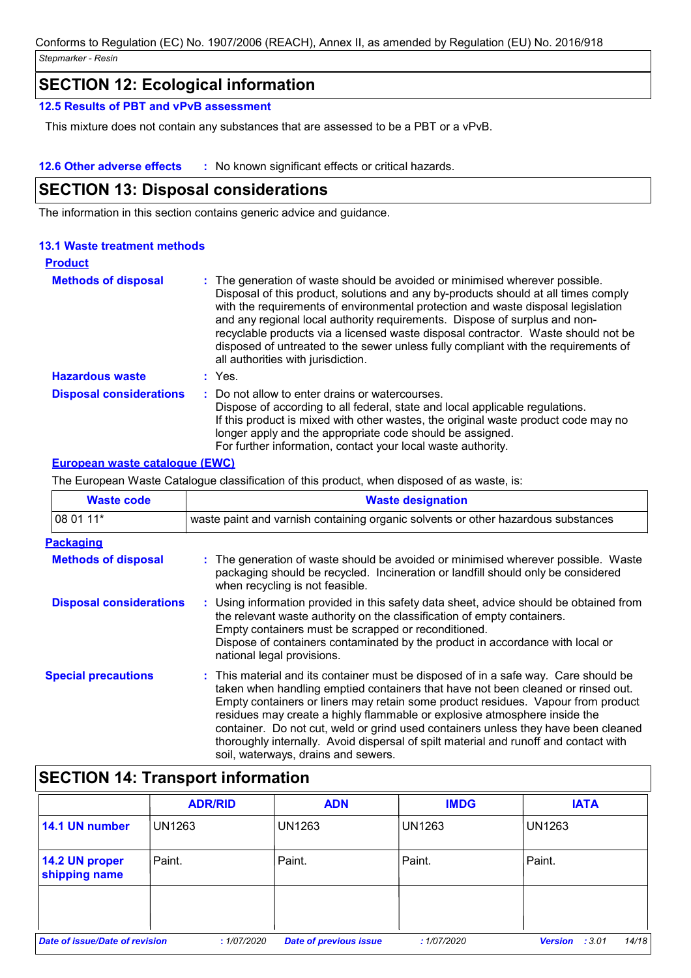### **SECTION 12: Ecological information**

#### **12.5 Results of PBT and vPvB assessment**

This mixture does not contain any substances that are assessed to be a PBT or a vPvB.

**12.6 Other adverse effects** : No known significant effects or critical hazards.

### **SECTION 13: Disposal considerations**

The information in this section contains generic advice and guidance.

#### **13.1 Waste treatment methods**

| <b>Product</b>                 |                                                                                                                                                                                                                                                                                                                                                                                                                                                                                                                                                      |
|--------------------------------|------------------------------------------------------------------------------------------------------------------------------------------------------------------------------------------------------------------------------------------------------------------------------------------------------------------------------------------------------------------------------------------------------------------------------------------------------------------------------------------------------------------------------------------------------|
| <b>Methods of disposal</b>     | : The generation of waste should be avoided or minimised wherever possible.<br>Disposal of this product, solutions and any by-products should at all times comply<br>with the requirements of environmental protection and waste disposal legislation<br>and any regional local authority requirements. Dispose of surplus and non-<br>recyclable products via a licensed waste disposal contractor. Waste should not be<br>disposed of untreated to the sewer unless fully compliant with the requirements of<br>all authorities with jurisdiction. |
| <b>Hazardous waste</b>         | $:$ Yes.                                                                                                                                                                                                                                                                                                                                                                                                                                                                                                                                             |
| <b>Disposal considerations</b> | : Do not allow to enter drains or watercourses.<br>Dispose of according to all federal, state and local applicable regulations.<br>If this product is mixed with other wastes, the original waste product code may no<br>longer apply and the appropriate code should be assigned.<br>For further information, contact your local waste authority.                                                                                                                                                                                                   |

#### **European waste catalogue (EWC)**

The European Waste Catalogue classification of this product, when disposed of as waste, is:

| <b>Waste code</b>              | <b>Waste designation</b>                                                                                                                                                                                                                                                                                                                                                                                                                                                                                                                                      |
|--------------------------------|---------------------------------------------------------------------------------------------------------------------------------------------------------------------------------------------------------------------------------------------------------------------------------------------------------------------------------------------------------------------------------------------------------------------------------------------------------------------------------------------------------------------------------------------------------------|
| 08 01 11*                      | waste paint and varnish containing organic solvents or other hazardous substances                                                                                                                                                                                                                                                                                                                                                                                                                                                                             |
| <b>Packaging</b>               |                                                                                                                                                                                                                                                                                                                                                                                                                                                                                                                                                               |
| <b>Methods of disposal</b>     | : The generation of waste should be avoided or minimised wherever possible. Waste<br>packaging should be recycled. Incineration or landfill should only be considered<br>when recycling is not feasible.                                                                                                                                                                                                                                                                                                                                                      |
| <b>Disposal considerations</b> | : Using information provided in this safety data sheet, advice should be obtained from<br>the relevant waste authority on the classification of empty containers.<br>Empty containers must be scrapped or reconditioned.<br>Dispose of containers contaminated by the product in accordance with local or<br>national legal provisions.                                                                                                                                                                                                                       |
| <b>Special precautions</b>     | : This material and its container must be disposed of in a safe way. Care should be<br>taken when handling emptied containers that have not been cleaned or rinsed out.<br>Empty containers or liners may retain some product residues. Vapour from product<br>residues may create a highly flammable or explosive atmosphere inside the<br>container. Do not cut, weld or grind used containers unless they have been cleaned<br>thoroughly internally. Avoid dispersal of spilt material and runoff and contact with<br>soil, waterways, drains and sewers. |

### **SECTION 14: Transport information**

|                                       | <b>ADR/RID</b> | <b>ADN</b>                    | <b>IMDG</b>   | <b>IATA</b>             |
|---------------------------------------|----------------|-------------------------------|---------------|-------------------------|
| 14.1 UN number                        | <b>UN1263</b>  | <b>UN1263</b>                 | <b>UN1263</b> | <b>UN1263</b>           |
| 14.2 UN proper<br>shipping name       | Paint.         | Paint.                        | Paint.        | Paint.                  |
|                                       |                |                               |               |                         |
| <b>Date of issue/Date of revision</b> | :1/07/2020     | <b>Date of previous issue</b> | :1/07/2020    | 14/18<br>Version : 3.01 |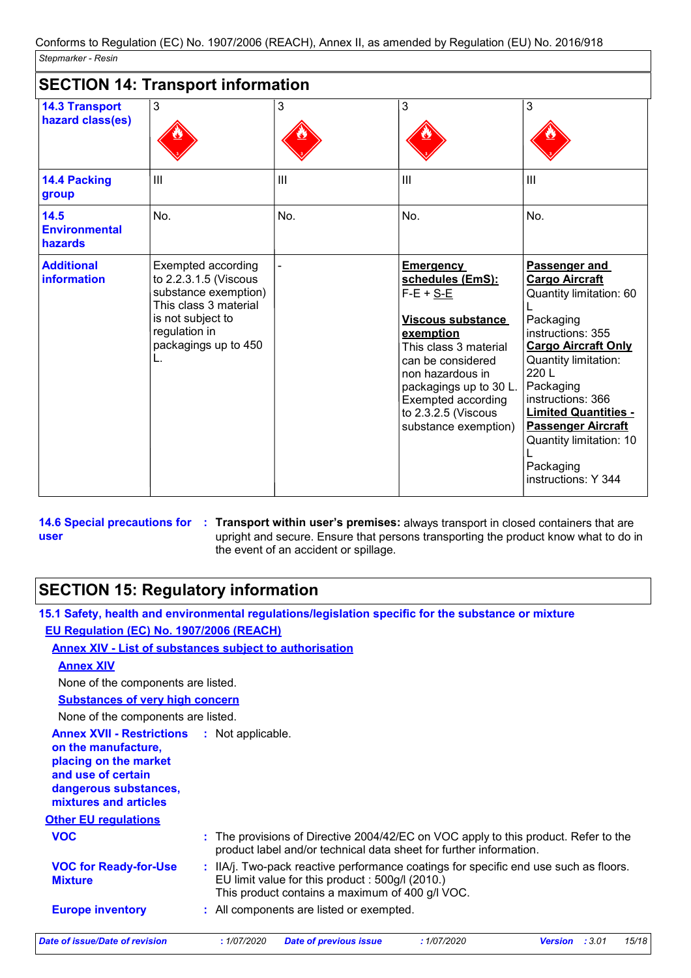| <b>14.3 Transport</b><br>hazard class(es) | 3                                                                                                                                                                | 3   | 3                                                                                                                                                                                                                                                             | 3                                                                                                                                                                                                                                                                                                                              |
|-------------------------------------------|------------------------------------------------------------------------------------------------------------------------------------------------------------------|-----|---------------------------------------------------------------------------------------------------------------------------------------------------------------------------------------------------------------------------------------------------------------|--------------------------------------------------------------------------------------------------------------------------------------------------------------------------------------------------------------------------------------------------------------------------------------------------------------------------------|
|                                           |                                                                                                                                                                  |     |                                                                                                                                                                                                                                                               |                                                                                                                                                                                                                                                                                                                                |
| 14.4 Packing<br>group                     | $\mathbf{III}$                                                                                                                                                   | Ш   | III                                                                                                                                                                                                                                                           | III                                                                                                                                                                                                                                                                                                                            |
| 14.5<br><b>Environmental</b><br>hazards   | No.                                                                                                                                                              | No. | No.                                                                                                                                                                                                                                                           | No.                                                                                                                                                                                                                                                                                                                            |
| <b>Additional</b><br>information          | Exempted according<br>to 2.2.3.1.5 (Viscous<br>substance exemption)<br>This class 3 material<br>is not subject to<br>regulation in<br>packagings up to 450<br>L. |     | <b>Emergency</b><br>schedules (EmS):<br>$F-E + S-E$<br><b>Viscous substance</b><br>exemption<br>This class 3 material<br>can be considered<br>non hazardous in<br>packagings up to 30 L.<br>Exempted according<br>to 2.3.2.5 (Viscous<br>substance exemption) | Passenger and<br><b>Cargo Aircraft</b><br>Quantity limitation: 60<br>Packaging<br>instructions: 355<br><b>Cargo Aircraft Only</b><br>Quantity limitation:<br>220L<br>Packaging<br>instructions: 366<br><b>Limited Quantities -</b><br><b>Passenger Aircraft</b><br>Quantity limitation: 10<br>Packaging<br>instructions: Y 344 |

**14.6 Special precautions for : Transport within user's premises: always transport in closed containers that are user** upright and secure. Ensure that persons transporting the product know what to do in the event of an accident or spillage.

### **SECTION 15: Regulatory information**

| 15.1 Safety, health and environmental regulations/legislation specific for the substance or mixture                                                      |                   |                                                                                                    |            |                                                                                      |
|----------------------------------------------------------------------------------------------------------------------------------------------------------|-------------------|----------------------------------------------------------------------------------------------------|------------|--------------------------------------------------------------------------------------|
| EU Regulation (EC) No. 1907/2006 (REACH)                                                                                                                 |                   |                                                                                                    |            |                                                                                      |
| <b>Annex XIV - List of substances subject to authorisation</b>                                                                                           |                   |                                                                                                    |            |                                                                                      |
| <b>Annex XIV</b>                                                                                                                                         |                   |                                                                                                    |            |                                                                                      |
| None of the components are listed.                                                                                                                       |                   |                                                                                                    |            |                                                                                      |
| <b>Substances of very high concern</b>                                                                                                                   |                   |                                                                                                    |            |                                                                                      |
| None of the components are listed.                                                                                                                       |                   |                                                                                                    |            |                                                                                      |
| <b>Annex XVII - Restrictions</b><br>on the manufacture,<br>placing on the market<br>and use of certain<br>dangerous substances,<br>mixtures and articles | : Not applicable. |                                                                                                    |            |                                                                                      |
| <b>Other EU regulations</b>                                                                                                                              |                   |                                                                                                    |            |                                                                                      |
| <b>VOC</b>                                                                                                                                               |                   | product label and/or technical data sheet for further information.                                 |            | : The provisions of Directive 2004/42/EC on VOC apply to this product. Refer to the  |
| <b>VOC for Ready-for-Use</b><br><b>Mixture</b>                                                                                                           |                   | EU limit value for this product: 500g/l (2010.)<br>This product contains a maximum of 400 g/l VOC. |            | : IIA/j. Two-pack reactive performance coatings for specific end use such as floors. |
| <b>Europe inventory</b>                                                                                                                                  |                   | : All components are listed or exempted.                                                           |            |                                                                                      |
| Date of issue/Date of revision                                                                                                                           | : 1/07/2020       | <b>Date of previous issue</b>                                                                      | :1/07/2020 | 15/18<br>Version : 3.01                                                              |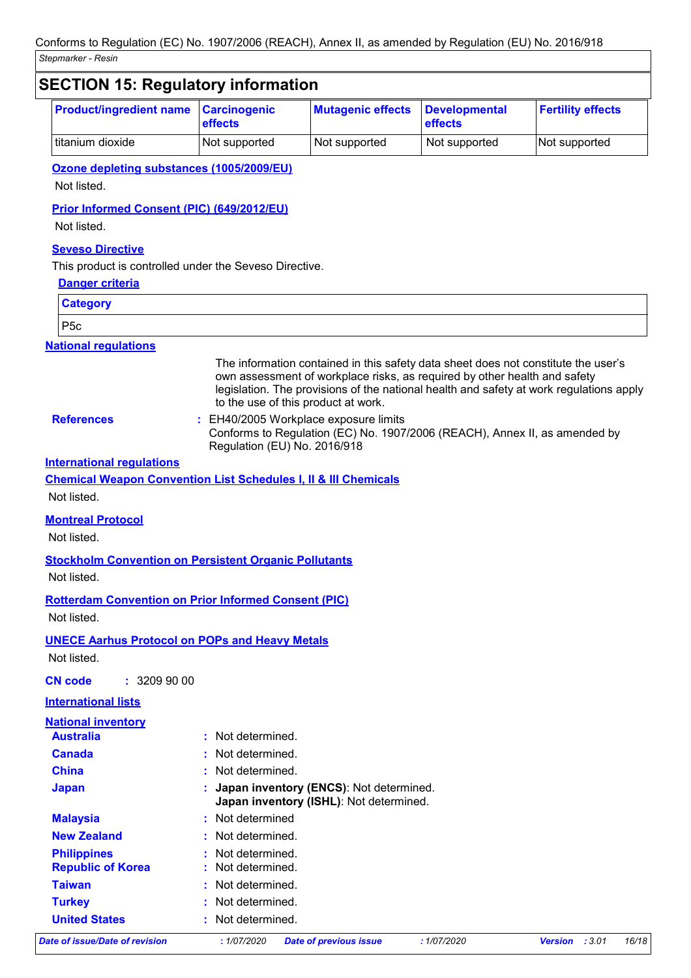|                                                                             | <b>SECTION 15: Regulatory information</b> |                                                                                                                                                                                                                                                                                                                                                                                                                          |                                 |                          |
|-----------------------------------------------------------------------------|-------------------------------------------|--------------------------------------------------------------------------------------------------------------------------------------------------------------------------------------------------------------------------------------------------------------------------------------------------------------------------------------------------------------------------------------------------------------------------|---------------------------------|--------------------------|
| <b>Product/ingredient name</b>                                              | <b>Carcinogenic</b><br>effects            | <b>Mutagenic effects</b>                                                                                                                                                                                                                                                                                                                                                                                                 | <b>Developmental</b><br>effects | <b>Fertility effects</b> |
| titanium dioxide                                                            | Not supported                             | Not supported                                                                                                                                                                                                                                                                                                                                                                                                            | Not supported                   | Not supported            |
| Ozone depleting substances (1005/2009/EU)<br>Not listed.                    |                                           |                                                                                                                                                                                                                                                                                                                                                                                                                          |                                 |                          |
| <b>Prior Informed Consent (PIC) (649/2012/EU)</b><br>Not listed.            |                                           |                                                                                                                                                                                                                                                                                                                                                                                                                          |                                 |                          |
| <b>Seveso Directive</b>                                                     |                                           |                                                                                                                                                                                                                                                                                                                                                                                                                          |                                 |                          |
| This product is controlled under the Seveso Directive.                      |                                           |                                                                                                                                                                                                                                                                                                                                                                                                                          |                                 |                          |
| <b>Danger criteria</b>                                                      |                                           |                                                                                                                                                                                                                                                                                                                                                                                                                          |                                 |                          |
| <b>Category</b>                                                             |                                           |                                                                                                                                                                                                                                                                                                                                                                                                                          |                                 |                          |
| P <sub>5c</sub>                                                             |                                           |                                                                                                                                                                                                                                                                                                                                                                                                                          |                                 |                          |
| <b>National requlations</b>                                                 |                                           |                                                                                                                                                                                                                                                                                                                                                                                                                          |                                 |                          |
| <b>References</b>                                                           |                                           | The information contained in this safety data sheet does not constitute the user's<br>own assessment of workplace risks, as required by other health and safety<br>legislation. The provisions of the national health and safety at work regulations apply<br>to the use of this product at work.<br>: EH40/2005 Workplace exposure limits<br>Conforms to Regulation (EC) No. 1907/2006 (REACH), Annex II, as amended by |                                 |                          |
| <b>International regulations</b>                                            | Regulation (EU) No. 2016/918              |                                                                                                                                                                                                                                                                                                                                                                                                                          |                                 |                          |
| <b>Chemical Weapon Convention List Schedules I, II &amp; III Chemicals</b>  |                                           |                                                                                                                                                                                                                                                                                                                                                                                                                          |                                 |                          |
| Not listed.                                                                 |                                           |                                                                                                                                                                                                                                                                                                                                                                                                                          |                                 |                          |
| <b>Montreal Protocol</b><br>Not listed.                                     |                                           |                                                                                                                                                                                                                                                                                                                                                                                                                          |                                 |                          |
| <b>Stockholm Convention on Persistent Organic Pollutants</b><br>Not listed. |                                           |                                                                                                                                                                                                                                                                                                                                                                                                                          |                                 |                          |
| <b>Rotterdam Convention on Prior Informed Consent (PIC)</b><br>Not listed.  |                                           |                                                                                                                                                                                                                                                                                                                                                                                                                          |                                 |                          |
| <b>UNECE Aarhus Protocol on POPs and Heavy Metals</b><br>Not listed.        |                                           |                                                                                                                                                                                                                                                                                                                                                                                                                          |                                 |                          |
| <b>CN</b> code<br>: 3209900                                                 |                                           |                                                                                                                                                                                                                                                                                                                                                                                                                          |                                 |                          |
| <b>International lists</b>                                                  |                                           |                                                                                                                                                                                                                                                                                                                                                                                                                          |                                 |                          |
| <b>National inventory</b>                                                   |                                           |                                                                                                                                                                                                                                                                                                                                                                                                                          |                                 |                          |
| <b>Australia</b>                                                            | Not determined.                           |                                                                                                                                                                                                                                                                                                                                                                                                                          |                                 |                          |
| <b>Canada</b>                                                               | Not determined.                           |                                                                                                                                                                                                                                                                                                                                                                                                                          |                                 |                          |
| <b>China</b>                                                                | Not determined.                           |                                                                                                                                                                                                                                                                                                                                                                                                                          |                                 |                          |
| <b>Japan</b>                                                                |                                           | Japan inventory (ENCS): Not determined.<br>Japan inventory (ISHL): Not determined.                                                                                                                                                                                                                                                                                                                                       |                                 |                          |
| <b>Malaysia</b>                                                             | Not determined<br>÷.                      |                                                                                                                                                                                                                                                                                                                                                                                                                          |                                 |                          |
| <b>New Zealand</b>                                                          | Not determined.                           |                                                                                                                                                                                                                                                                                                                                                                                                                          |                                 |                          |
| <b>Philippines</b>                                                          | Not determined.                           |                                                                                                                                                                                                                                                                                                                                                                                                                          |                                 |                          |
| <b>Republic of Korea</b>                                                    | Not determined.                           |                                                                                                                                                                                                                                                                                                                                                                                                                          |                                 |                          |
| <b>Taiwan</b>                                                               | Not determined.                           |                                                                                                                                                                                                                                                                                                                                                                                                                          |                                 |                          |
|                                                                             |                                           |                                                                                                                                                                                                                                                                                                                                                                                                                          |                                 |                          |
| <b>Turkey</b>                                                               | Not determined.                           |                                                                                                                                                                                                                                                                                                                                                                                                                          |                                 |                          |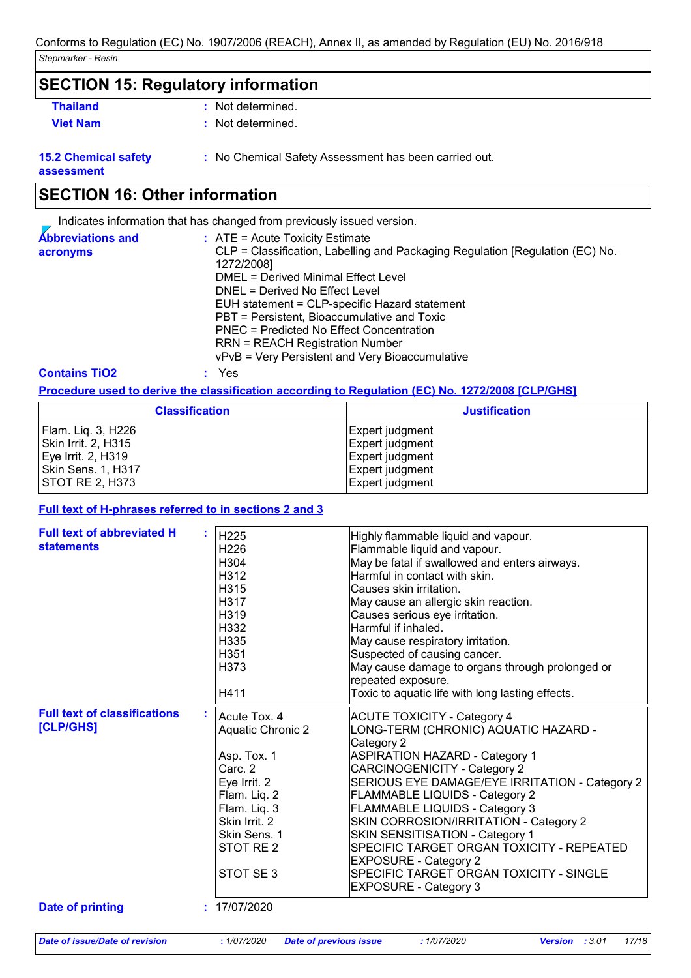### **SECTION 15: Regulatory information**

- **Thailand :** Not determined.
	-
- 
- **Viet Nam :** Not determined.

**15.2 Chemical safety** 

**:** No Chemical Safety Assessment has been carried out.

**assessment**

### **SECTION 16: Other information**

|                                      | Indicates information that has changed from previously issued version.                                                                                                                                                                                                                                                                                                                                                                             |
|--------------------------------------|----------------------------------------------------------------------------------------------------------------------------------------------------------------------------------------------------------------------------------------------------------------------------------------------------------------------------------------------------------------------------------------------------------------------------------------------------|
| <b>Abbreviations and</b><br>acronyms | $:$ ATE = Acute Toxicity Estimate<br>CLP = Classification, Labelling and Packaging Regulation [Regulation (EC) No.<br>1272/2008]<br>DMEL = Derived Minimal Effect Level<br>DNEL = Derived No Effect Level<br>EUH statement = CLP-specific Hazard statement<br>PBT = Persistent, Bioaccumulative and Toxic<br>PNEC = Predicted No Effect Concentration<br><b>RRN = REACH Registration Number</b><br>vPvB = Very Persistent and Very Bioaccumulative |
| <b>Contains TiO2</b>                 | Yes                                                                                                                                                                                                                                                                                                                                                                                                                                                |

### **Procedure used to derive the classification according to Regulation (EC) No. 1272/2008 [CLP/GHS]**

| <b>Classification</b>   | <b>Justification</b> |
|-------------------------|----------------------|
| Flam. Liq. 3, H226      | Expert judgment      |
| Skin Irrit. 2, H315     | Expert judgment      |
| Eye Irrit. 2, H319      | Expert judgment      |
| Skin Sens. 1, H317      | Expert judgment      |
| <b>ISTOT RE 2. H373</b> | Expert judgment      |

#### **Full text of H-phrases referred to in sections 2 and 3**

| <b>Full text of abbreviated H</b><br><b>statements</b> | H225<br>H <sub>226</sub><br>H304<br>H312<br>H315<br>H317<br>H319<br>H332<br>H335<br>H351<br>H373<br>H411                                                                      | Highly flammable liquid and vapour.<br>Flammable liquid and vapour.<br>May be fatal if swallowed and enters airways.<br>Harmful in contact with skin.<br>Causes skin irritation.<br>May cause an allergic skin reaction.<br>Causes serious eye irritation.<br>Harmful if inhaled.<br>May cause respiratory irritation.<br>Suspected of causing cancer.<br>May cause damage to organs through prolonged or<br>repeated exposure.<br>Toxic to aquatic life with long lasting effects.                                                         |
|--------------------------------------------------------|-------------------------------------------------------------------------------------------------------------------------------------------------------------------------------|---------------------------------------------------------------------------------------------------------------------------------------------------------------------------------------------------------------------------------------------------------------------------------------------------------------------------------------------------------------------------------------------------------------------------------------------------------------------------------------------------------------------------------------------|
| <b>Full text of classifications</b><br>[CLP/GHS]       | Acute Tox. 4<br><b>Aquatic Chronic 2</b><br>Asp. Tox. 1<br>Carc. 2<br>Eye Irrit. 2<br>Flam. Liq. 2<br>Flam. Liq. 3<br>Skin Irrit. 2<br>Skin Sens. 1<br>STOT RE 2<br>STOT SE 3 | <b>ACUTE TOXICITY - Category 4</b><br>LONG-TERM (CHRONIC) AQUATIC HAZARD -<br>Category 2<br><b>ASPIRATION HAZARD - Category 1</b><br>CARCINOGENICITY - Category 2<br>SERIOUS EYE DAMAGE/EYE IRRITATION - Category 2<br><b>FLAMMABLE LIQUIDS - Category 2</b><br><b>FLAMMABLE LIQUIDS - Category 3</b><br>SKIN CORROSION/IRRITATION - Category 2<br>SKIN SENSITISATION - Category 1<br>ISPECIFIC TARGET ORGAN TOXICITY - REPEATED<br><b>EXPOSURE - Category 2</b><br>SPECIFIC TARGET ORGAN TOXICITY - SINGLE<br><b>EXPOSURE - Category 3</b> |
| <b>Date of printing</b>                                | 17/07/2020                                                                                                                                                                    |                                                                                                                                                                                                                                                                                                                                                                                                                                                                                                                                             |